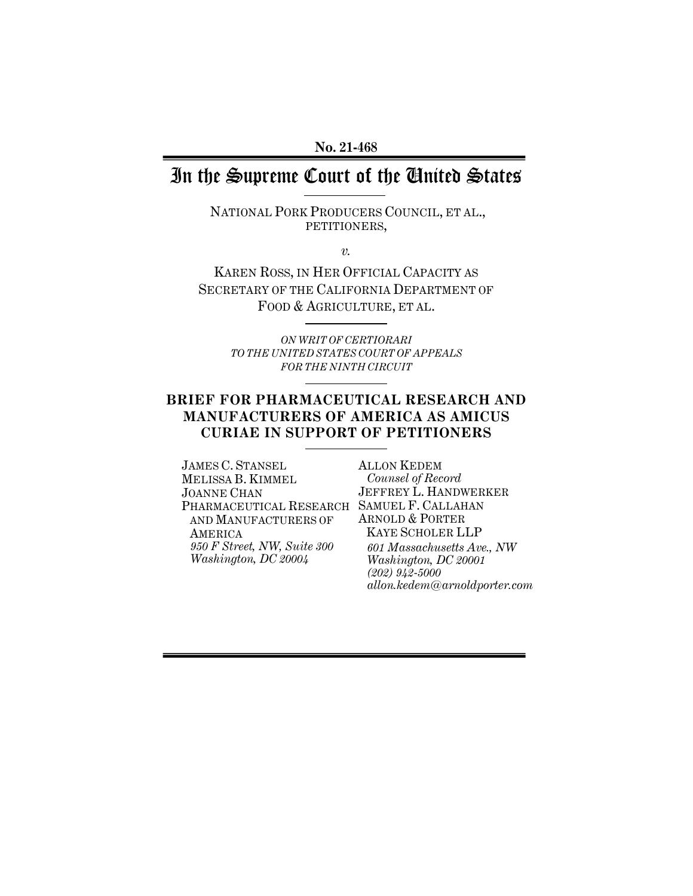#### **No. 21-468**

# In the Supreme Court of the United States

NATIONAL PORK PRODUCERS COUNCIL, ET AL., PETITIONERS,

*v.*

KAREN ROSS, IN HER OFFICIAL CAPACITY AS SECRETARY OF THE CALIFORNIA DEPARTMENT OF FOOD & AGRICULTURE, ET AL.

> *ON WRIT OF CERTIORARI TO THE UNITED STATES COURT OF APPEALS FOR THE NINTH CIRCUIT*

### **BRIEF FOR PHARMACEUTICAL RESEARCH AND MANUFACTURERS OF AMERICA AS AMICUS CURIAE IN SUPPORT OF PETITIONERS**

JAMES C. STANSEL MELISSA B. KIMMEL JOANNE CHAN PHARMACEUTICAL RESEARCH SAMUEL F. CALLAHAN AND MANUFACTURERS OF AMERICA *950 F Street, NW, Suite 300 Washington, DC 20004*

ALLON KEDEM *Counsel of Record* JEFFREY L. HANDWERKER ARNOLD & PORTER KAYE SCHOLER LLP *601 Massachusetts Ave., NW Washington, DC 20001 (202) 942-5000 allon.kedem@arnoldporter.com*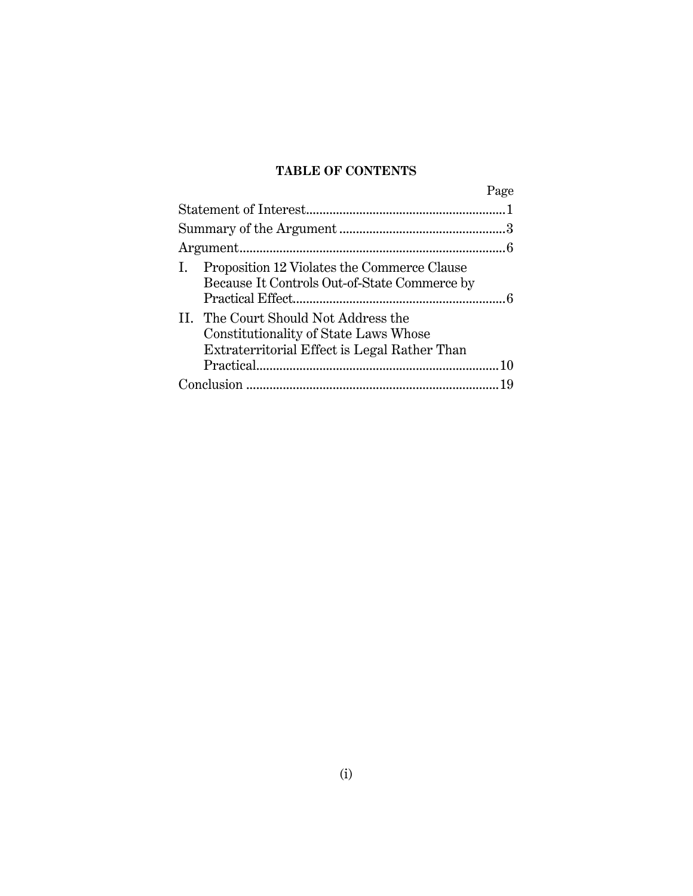## **TABLE OF CONTENTS**

|                                                                                                                               | Page |
|-------------------------------------------------------------------------------------------------------------------------------|------|
|                                                                                                                               |      |
|                                                                                                                               |      |
|                                                                                                                               |      |
| Proposition 12 Violates the Commerce Clause<br>Because It Controls Out-of-State Commerce by                                   |      |
| II. The Court Should Not Address the<br>Constitutionality of State Laws Whose<br>Extraterritorial Effect is Legal Rather Than |      |
|                                                                                                                               |      |
|                                                                                                                               |      |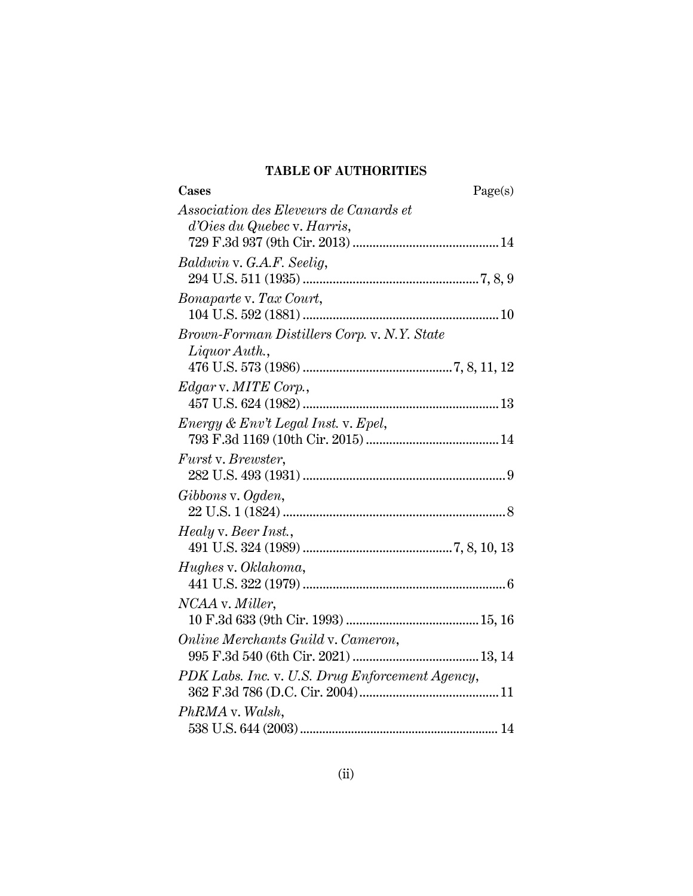## **TABLE OF AUTHORITIES**

| Cases<br>Page(s)                                |
|-------------------------------------------------|
| Association des Eleveurs de Canards et          |
| d'Oies du Quebec v. Harris,                     |
| Baldwin v. G.A.F. Seelig,                       |
|                                                 |
| <i>Bonaparte v. Tax Court,</i>                  |
|                                                 |
| Brown-Forman Distillers Corp. v. N.Y. State     |
| $Liquor \text{Aut}h.$                           |
|                                                 |
| Edgar v. MITE Corp.,                            |
|                                                 |
| Energy & Env't Legal Inst. v. Epel,             |
| Furst v. Brewster,                              |
|                                                 |
| Gibbons v. Ogden,                               |
|                                                 |
| Healy v. Beer Inst.,                            |
|                                                 |
| Hughes v. Oklahoma,                             |
|                                                 |
| NCAA v. Miller,                                 |
|                                                 |
| Online Merchants Guild v. Cameron,              |
|                                                 |
| PDK Labs. Inc. v. U.S. Drug Enforcement Agency, |
|                                                 |
| PhRMA v. Walsh,                                 |
|                                                 |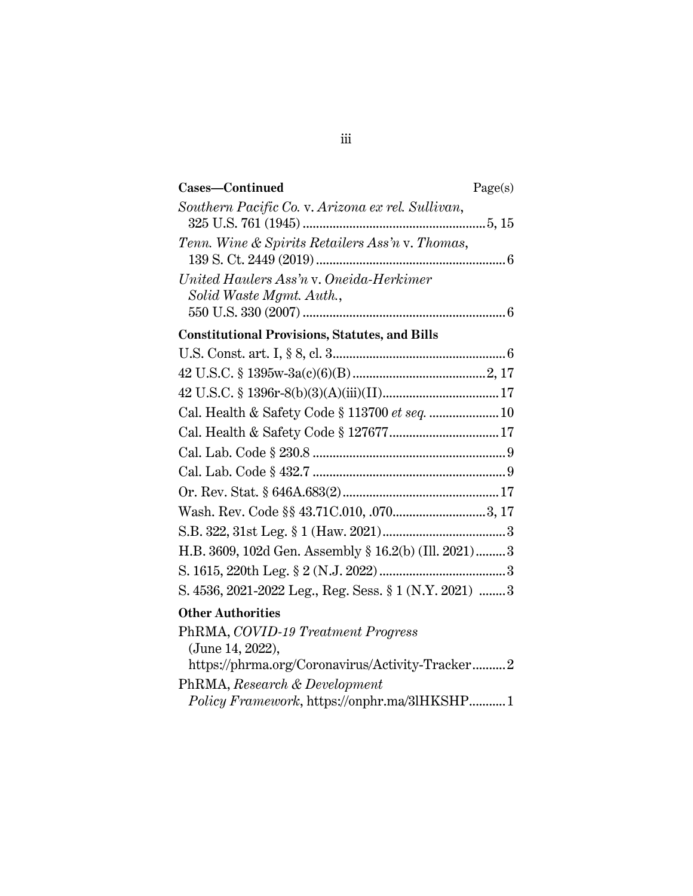| Cases-Continued                                                     | Page(s) |
|---------------------------------------------------------------------|---------|
| Southern Pacific Co. v. Arizona ex rel. Sullivan,                   |         |
| Tenn. Wine & Spirits Retailers Ass'n v. Thomas,                     |         |
| United Haulers Ass'n v. Oneida-Herkimer<br>Solid Waste Mgmt. Auth., |         |
|                                                                     |         |
| <b>Constitutional Provisions, Statutes, and Bills</b>               |         |
|                                                                     |         |
|                                                                     |         |
|                                                                     |         |
|                                                                     |         |
|                                                                     |         |
|                                                                     |         |
|                                                                     |         |
|                                                                     |         |
|                                                                     |         |
|                                                                     |         |
| H.B. 3609, 102d Gen. Assembly § 16.2(b) (Ill. 2021) 3               |         |
|                                                                     |         |
| S. 4536, 2021-2022 Leg., Reg. Sess. § 1 (N.Y. 2021)  3              |         |
| <b>Other Authorities</b>                                            |         |
| PhRMA, COVID-19 Treatment Progress                                  |         |
| (June 14, 2022),                                                    |         |
| https://phrma.org/Coronavirus/Activity-Tracker2                     |         |

PhRMA, *Research & Development*

*Policy Framework*, https://onphr.ma/3lHKSHP...........1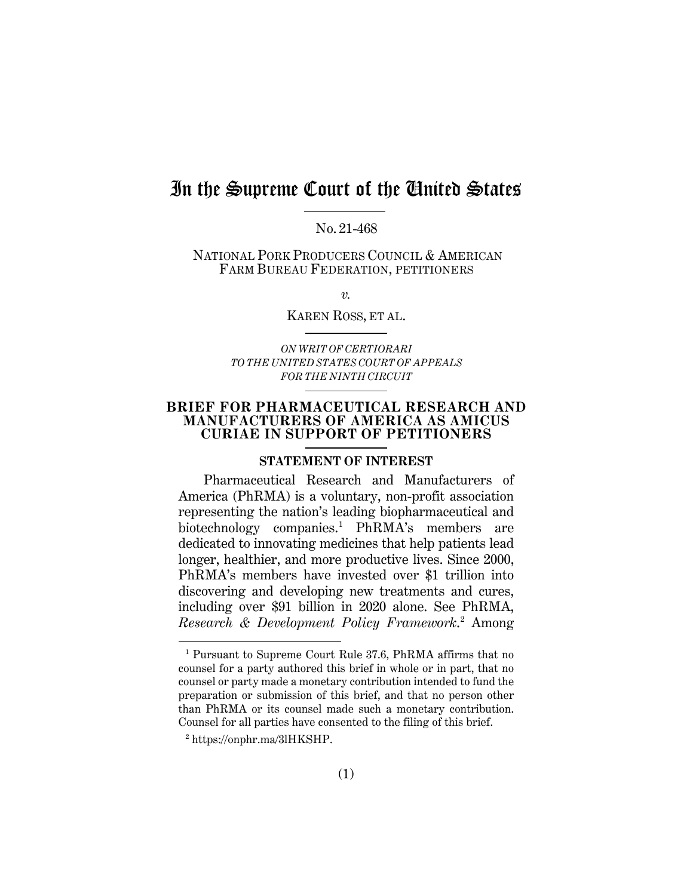# In the Supreme Court of the United States

No. 21-468

NATIONAL PORK PRODUCERS COUNCIL & AMERICAN FARM BUREAU FEDERATION, PETITIONERS

*v.*

KAREN ROSS, ET AL.

*ON WRIT OF CERTIORARI TO THE UNITED STATES COURT OF APPEALS FOR THE NINTH CIRCUIT*

#### **BRIEF FOR PHARMACEUTICAL RESEARCH AND MANUFACTURERS OF AMERICA AS AMICUS CURIAE IN SUPPORT OF PETITIONERS**

#### **STATEMENT OF INTEREST**

Pharmaceutical Research and Manufacturers of America (PhRMA) is a voluntary, non-profit association representing the nation's leading biopharmaceutical and biotechnology companies.[1](#page-4-0) PhRMA's members are dedicated to innovating medicines that help patients lead longer, healthier, and more productive lives. Since 2000, PhRMA's members have invested over \$1 trillion into discovering and developing new treatments and cures, including over \$91 billion in 2020 alone. See PhRMA, *Research & Development Policy Framework*. [2](#page-4-1) Among

<span id="page-4-0"></span><sup>1</sup> Pursuant to Supreme Court Rule 37.6, PhRMA affirms that no counsel for a party authored this brief in whole or in part, that no counsel or party made a monetary contribution intended to fund the preparation or submission of this brief, and that no person other than PhRMA or its counsel made such a monetary contribution. Counsel for all parties have consented to the filing of this brief.

<span id="page-4-1"></span><sup>2</sup> https://onphr.ma/3lHKSHP.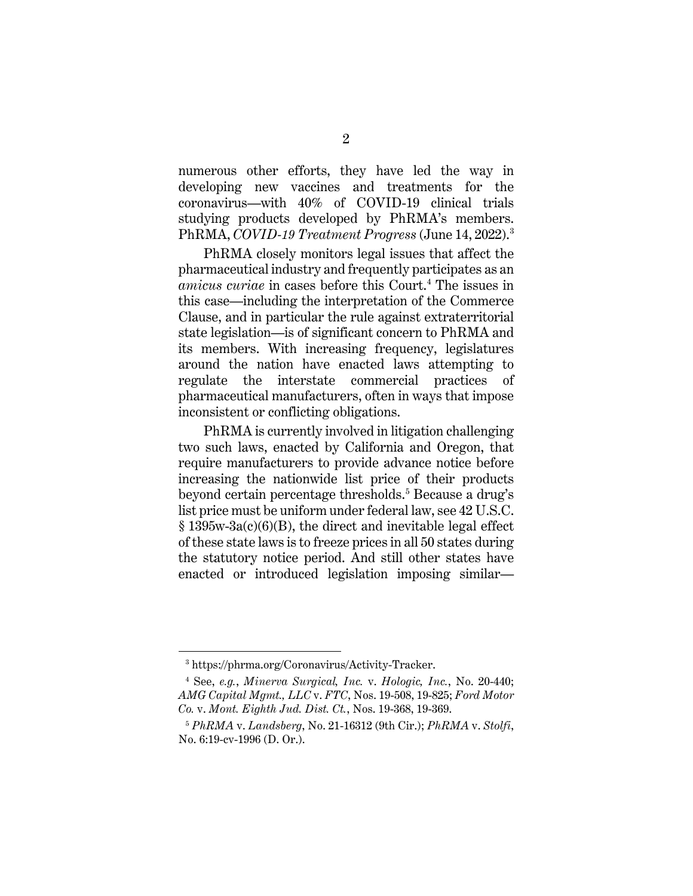numerous other efforts, they have led the way in developing new vaccines and treatments for the coronavirus—with 40% of COVID-19 clinical trials studying products developed by PhRMA's members. PhRMA, *COVID-19 Treatment Progress* (June 14, 2022).[3](#page-5-0)

PhRMA closely monitors legal issues that affect the pharmaceutical industry and frequently participates as an *amicus curiae* in cases before this Court.[4](#page-5-1) The issues in this case—including the interpretation of the Commerce Clause, and in particular the rule against extraterritorial state legislation—is of significant concern to PhRMA and its members. With increasing frequency, legislatures around the nation have enacted laws attempting to regulate the interstate commercial practices of pharmaceutical manufacturers, often in ways that impose inconsistent or conflicting obligations.

PhRMA is currently involved in litigation challenging two such laws, enacted by California and Oregon, that require manufacturers to provide advance notice before increasing the nationwide list price of their products beyond certain percentage thresholds. [5](#page-5-2) Because a drug's list price must be uniform under federal law, see 42 U.S.C. § 1395w-3a(c)(6)(B), the direct and inevitable legal effect of these state laws is to freeze prices in all 50 states during the statutory notice period. And still other states have enacted or introduced legislation imposing similar—

<sup>3</sup> https://phrma.org/Coronavirus/Activity-Tracker.

<span id="page-5-1"></span><span id="page-5-0"></span><sup>4</sup> See, *e.g.*, *Minerva Surgical, Inc.* v. *Hologic, Inc.*, No. 20-440; *AMG Capital Mgmt., LLC* v. *FTC*, Nos. 19-508, 19-825; *Ford Motor Co.* v. *Mont. Eighth Jud. Dist. Ct.*, Nos. 19-368, 19-369.

<span id="page-5-2"></span><sup>5</sup> *PhRMA* v. *Landsberg*, No. 21-16312 (9th Cir.); *PhRMA* v. *Stolfi*, No. 6:19-cv-1996 (D. Or.).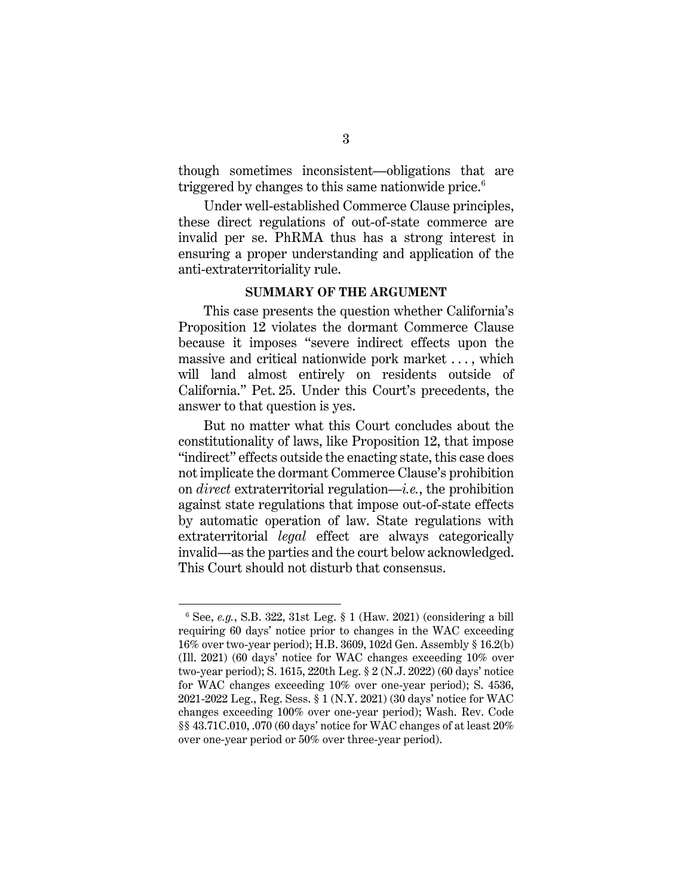though sometimes inconsistent—obligations that are triggered by changes to this same nationwide price. $6$ 

Under well-established Commerce Clause principles, these direct regulations of out-of-state commerce are invalid per se. PhRMA thus has a strong interest in ensuring a proper understanding and application of the anti-extraterritoriality rule.

#### **SUMMARY OF THE ARGUMENT**

This case presents the question whether California's Proposition 12 violates the dormant Commerce Clause because it imposes "severe indirect effects upon the massive and critical nationwide pork market . . . , which will land almost entirely on residents outside of California." Pet. 25. Under this Court's precedents, the answer to that question is yes.

But no matter what this Court concludes about the constitutionality of laws, like Proposition 12, that impose "indirect" effects outside the enacting state, this case does not implicate the dormant Commerce Clause's prohibition on *direct* extraterritorial regulation—*i.e.*, the prohibition against state regulations that impose out-of-state effects by automatic operation of law. State regulations with extraterritorial *legal* effect are always categorically invalid—as the parties and the court below acknowledged. This Court should not disturb that consensus.

<span id="page-6-0"></span><sup>6</sup> See, *e.g.*, S.B. 322, 31st Leg. § 1 (Haw. 2021) (considering a bill requiring 60 days' notice prior to changes in the WAC exceeding 16% over two-year period); H.B. 3609, 102d Gen. Assembly § 16.2(b) (Ill. 2021) (60 days' notice for WAC changes exceeding 10% over two-year period); S. 1615, 220th Leg. § 2 (N.J. 2022) (60 days' notice for WAC changes exceeding 10% over one-year period); S. 4536, 2021-2022 Leg., Reg. Sess. § 1 (N.Y. 2021) (30 days' notice for WAC changes exceeding 100% over one-year period); Wash. Rev. Code §§ 43.71C.010, .070 (60 days' notice for WAC changes of at least 20% over one-year period or 50% over three-year period).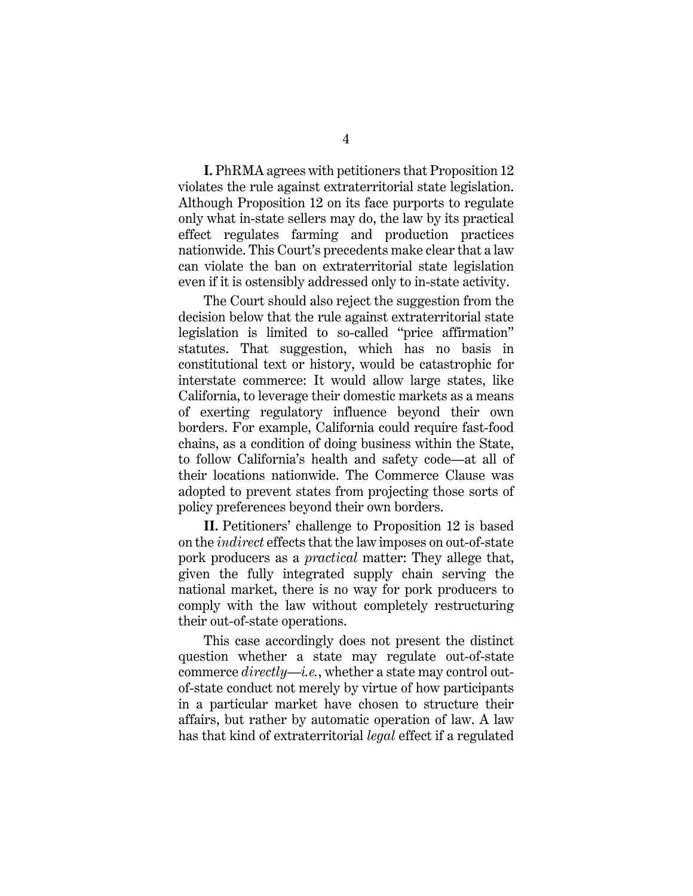**I.** PhRMA agrees with petitioners that Proposition 12 violates the rule against extraterritorial state legislation. Although Proposition 12 on its face purports to regulate only what in-state sellers may do, the law by its practical effect regulates farming and production practices nationwide. This Court's precedents make clear that a law can violate the ban on extraterritorial state legislation even if it is ostensibly addressed only to in-state activity.

The Court should also reject the suggestion from the decision below that the rule against extraterritorial state legislation is limited to so-called "price affirmation" statutes. That suggestion, which has no basis in constitutional text or history, would be catastrophic for interstate commerce: It would allow large states, like California, to leverage their domestic markets as a means of exerting regulatory influence beyond their own borders. For example, California could require fast-food chains, as a condition of doing business within the State, to follow California's health and safety code—at all of their locations nationwide. The Commerce Clause was adopted to prevent states from projecting those sorts of policy preferences beyond their own borders.

**II.** Petitioners' challenge to Proposition 12 is based on the *indirect* effects that the law imposes on out-of-state pork producers as a *practical* matter: They allege that, given the fully integrated supply chain serving the national market, there is no way for pork producers to comply with the law without completely restructuring their out-of-state operations.

This case accordingly does not present the distinct question whether a state may regulate out-of-state commerce *directly*—*i.e.*, whether a state may control outof-state conduct not merely by virtue of how participants in a particular market have chosen to structure their affairs, but rather by automatic operation of law. A law has that kind of extraterritorial *legal* effect if a regulated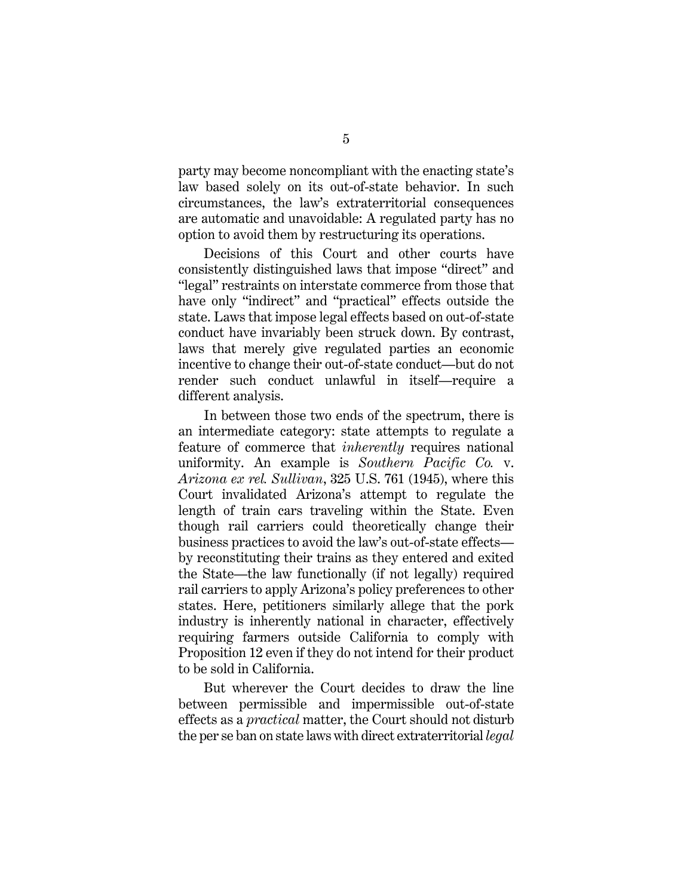party may become noncompliant with the enacting state's law based solely on its out-of-state behavior. In such circumstances, the law's extraterritorial consequences are automatic and unavoidable: A regulated party has no option to avoid them by restructuring its operations.

Decisions of this Court and other courts have consistently distinguished laws that impose "direct" and "legal" restraints on interstate commerce from those that have only "indirect" and "practical" effects outside the state. Laws that impose legal effects based on out-of-state conduct have invariably been struck down. By contrast, laws that merely give regulated parties an economic incentive to change their out-of-state conduct—but do not render such conduct unlawful in itself—require a different analysis.

In between those two ends of the spectrum, there is an intermediate category: state attempts to regulate a feature of commerce that *inherently* requires national uniformity. An example is *Southern Pacific Co.* v. *Arizona ex rel. Sullivan*, 325 U.S. 761 (1945), where this Court invalidated Arizona's attempt to regulate the length of train cars traveling within the State. Even though rail carriers could theoretically change their business practices to avoid the law's out-of-state effects by reconstituting their trains as they entered and exited the State—the law functionally (if not legally) required rail carriers to apply Arizona's policy preferences to other states. Here, petitioners similarly allege that the pork industry is inherently national in character, effectively requiring farmers outside California to comply with Proposition 12 even if they do not intend for their product to be sold in California.

But wherever the Court decides to draw the line between permissible and impermissible out-of-state effects as a *practical* matter, the Court should not disturb the per se ban on state laws with direct extraterritorial *legal*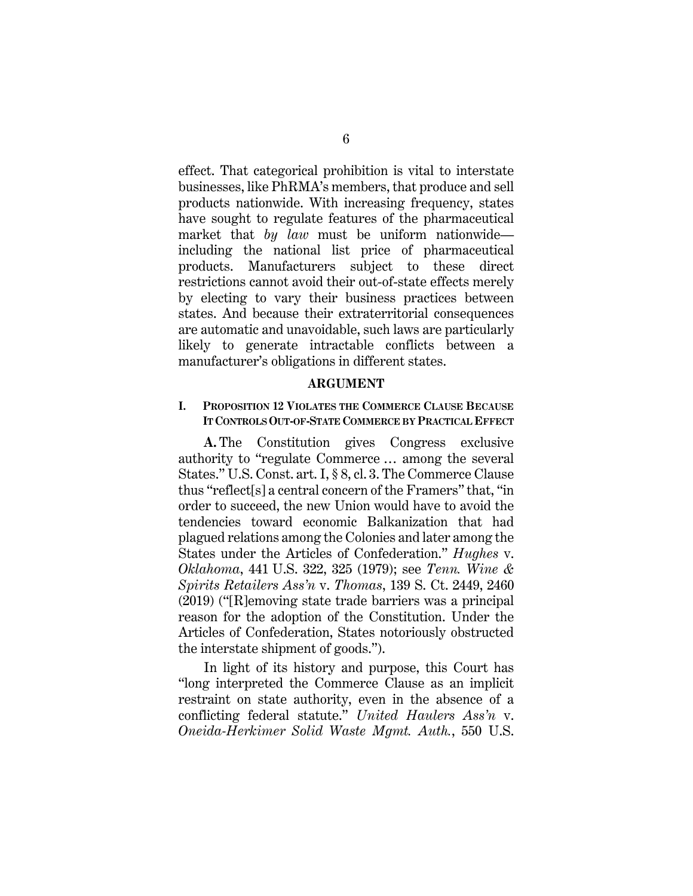effect. That categorical prohibition is vital to interstate businesses, like PhRMA's members, that produce and sell products nationwide. With increasing frequency, states have sought to regulate features of the pharmaceutical market that *by law* must be uniform nationwide including the national list price of pharmaceutical products. Manufacturers subject to these direct restrictions cannot avoid their out-of-state effects merely by electing to vary their business practices between states. And because their extraterritorial consequences are automatic and unavoidable, such laws are particularly likely to generate intractable conflicts between a manufacturer's obligations in different states.

#### **ARGUMENT**

#### **I. PROPOSITION 12 VIOLATES THE COMMERCE CLAUSE BECAUSE IT CONTROLSOUT-OF-STATE COMMERCE BY PRACTICAL EFFECT**

**A.** The Constitution gives Congress exclusive authority to "regulate Commerce … among the several States." U.S. Const. art. I, § 8, cl. 3. The Commerce Clause thus "reflect[s] a central concern of the Framers" that, "in order to succeed, the new Union would have to avoid the tendencies toward economic Balkanization that had plagued relations among the Colonies and later among the States under the Articles of Confederation." *Hughes* v. *Oklahoma*, 441 U.S. 322, 325 (1979); see *Tenn. Wine & Spirits Retailers Ass'n* v. *Thomas*, 139 S. Ct. 2449, 2460 (2019) ("[R]emoving state trade barriers was a principal reason for the adoption of the Constitution. Under the Articles of Confederation, States notoriously obstructed the interstate shipment of goods.").

In light of its history and purpose, this Court has "long interpreted the Commerce Clause as an implicit restraint on state authority, even in the absence of a conflicting federal statute." *United Haulers Ass'n* v. *Oneida-Herkimer Solid Waste Mgmt. Auth.*, 550 U.S.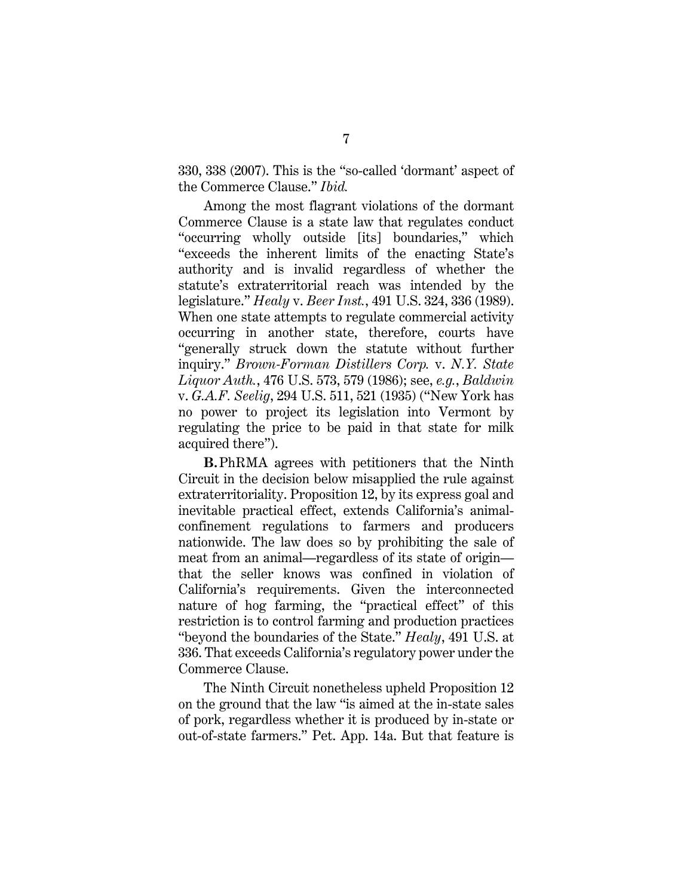330, 338 (2007). This is the "so-called 'dormant' aspect of the Commerce Clause." *Ibid.*

Among the most flagrant violations of the dormant Commerce Clause is a state law that regulates conduct "occurring wholly outside [its] boundaries," which "exceeds the inherent limits of the enacting State's authority and is invalid regardless of whether the statute's extraterritorial reach was intended by the legislature." *Healy* v. *Beer Inst.*, 491 U.S. 324, 336 (1989). When one state attempts to regulate commercial activity occurring in another state, therefore, courts have "generally struck down the statute without further inquiry." *Brown-Forman Distillers Corp.* v. *N.Y. State Liquor Auth.*, 476 U.S. 573, 579 (1986); see, *e.g.*, *Baldwin*  v. *G.A.F. Seelig*, 294 U.S. 511, 521 (1935) ("New York has no power to project its legislation into Vermont by regulating the price to be paid in that state for milk acquired there").

**B.**PhRMA agrees with petitioners that the Ninth Circuit in the decision below misapplied the rule against extraterritoriality. Proposition 12, by its express goal and inevitable practical effect, extends California's animalconfinement regulations to farmers and producers nationwide. The law does so by prohibiting the sale of meat from an animal—regardless of its state of origin that the seller knows was confined in violation of California's requirements. Given the interconnected nature of hog farming, the "practical effect" of this restriction is to control farming and production practices "beyond the boundaries of the State." *Healy*, 491 U.S. at 336. That exceeds California's regulatory power under the Commerce Clause.

The Ninth Circuit nonetheless upheld Proposition 12 on the ground that the law "is aimed at the in-state sales of pork, regardless whether it is produced by in-state or out-of-state farmers." Pet. App. 14a. But that feature is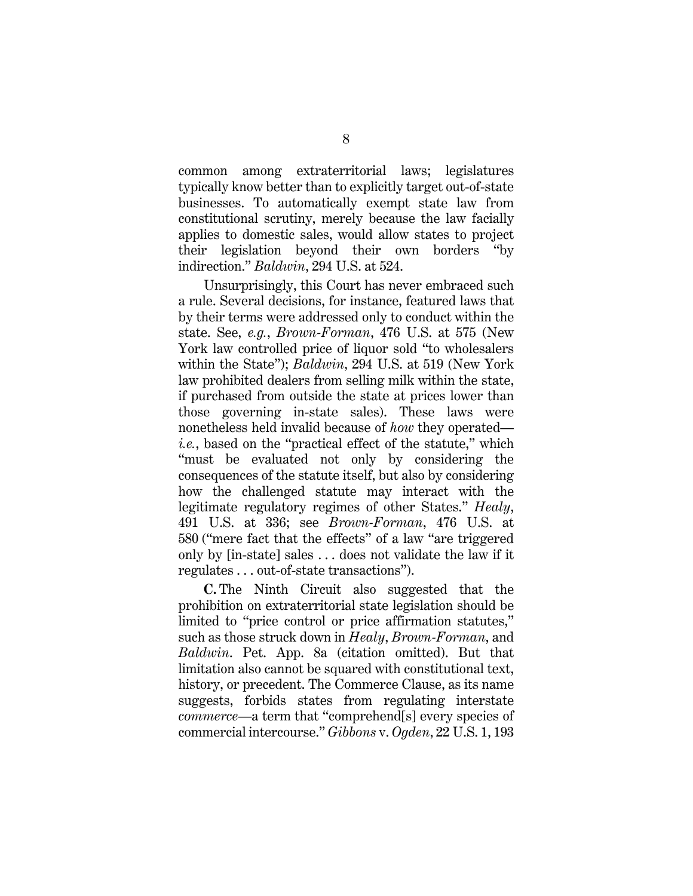common among extraterritorial laws; legislatures typically know better than to explicitly target out-of-state businesses. To automatically exempt state law from constitutional scrutiny, merely because the law facially applies to domestic sales, would allow states to project their legislation beyond their own borders "by indirection." *Baldwin*, 294 U.S. at 524.

Unsurprisingly, this Court has never embraced such a rule. Several decisions, for instance, featured laws that by their terms were addressed only to conduct within the state. See, *e.g.*, *Brown-Forman*, 476 U.S. at 575 (New York law controlled price of liquor sold "to wholesalers within the State"); *Baldwin*, 294 U.S. at 519 (New York law prohibited dealers from selling milk within the state, if purchased from outside the state at prices lower than those governing in-state sales). These laws were nonetheless held invalid because of *how* they operated *i.e.*, based on the "practical effect of the statute," which "must be evaluated not only by considering the consequences of the statute itself, but also by considering how the challenged statute may interact with the legitimate regulatory regimes of other States." *Healy*, 491 U.S. at 336; see *Brown-Forman*, 476 U.S. at 580 ("mere fact that the effects" of a law "are triggered only by [in-state] sales . . . does not validate the law if it regulates . . . out-of-state transactions").

**C.** The Ninth Circuit also suggested that the prohibition on extraterritorial state legislation should be limited to "price control or price affirmation statutes," such as those struck down in *Healy*, *Brown-Forman*, and *Baldwin*. Pet. App. 8a (citation omitted). But that limitation also cannot be squared with constitutional text, history, or precedent. The Commerce Clause, as its name suggests, forbids states from regulating interstate *commerce*—a term that "comprehend[s] every species of commercial intercourse." *Gibbons* v. *Ogden*, 22 U.S. 1, 193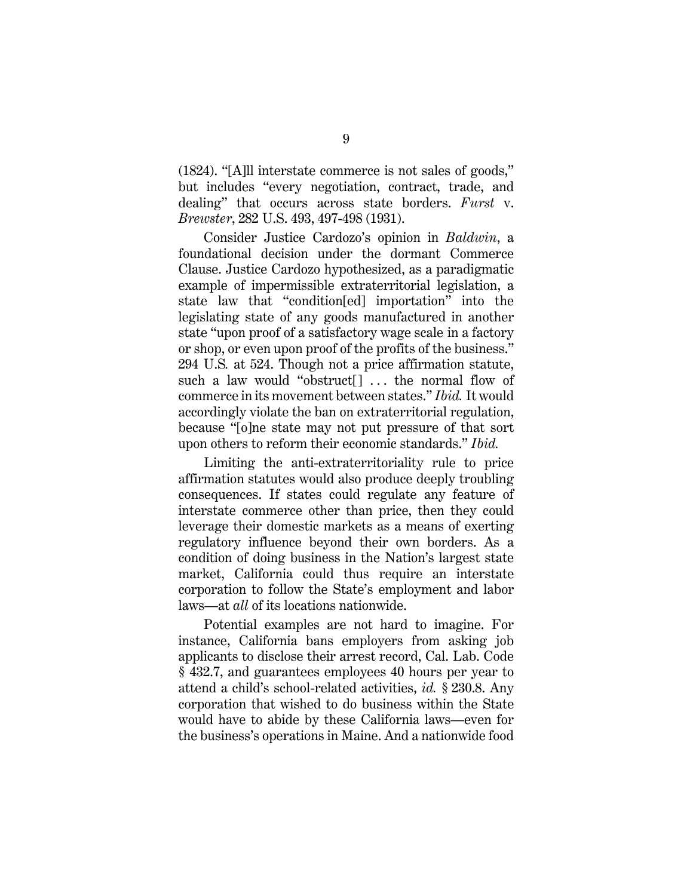(1824). "[A]ll interstate commerce is not sales of goods," but includes "every negotiation, contract, trade, and dealing" that occurs across state borders. *Furst* v. *Brewster*, 282 U.S. 493, 497-498 (1931).

Consider Justice Cardozo's opinion in *Baldwin*, a foundational decision under the dormant Commerce Clause. Justice Cardozo hypothesized, as a paradigmatic example of impermissible extraterritorial legislation, a state law that "condition[ed] importation" into the legislating state of any goods manufactured in another state "upon proof of a satisfactory wage scale in a factory or shop, or even upon proof of the profits of the business." 294 U.S*.* at 524. Though not a price affirmation statute, such a law would "obstruct<sup>[]</sup> ... the normal flow of commerce in its movement between states." *Ibid.* It would accordingly violate the ban on extraterritorial regulation, because "[o]ne state may not put pressure of that sort upon others to reform their economic standards." *Ibid.*

Limiting the anti-extraterritoriality rule to price affirmation statutes would also produce deeply troubling consequences. If states could regulate any feature of interstate commerce other than price, then they could leverage their domestic markets as a means of exerting regulatory influence beyond their own borders. As a condition of doing business in the Nation's largest state market, California could thus require an interstate corporation to follow the State's employment and labor laws—at *all* of its locations nationwide.

Potential examples are not hard to imagine. For instance, California bans employers from asking job applicants to disclose their arrest record, Cal. Lab. Code § 432.7, and guarantees employees 40 hours per year to attend a child's school-related activities, *id.* § 230.8. Any corporation that wished to do business within the State would have to abide by these California laws—even for the business's operations in Maine. And a nationwide food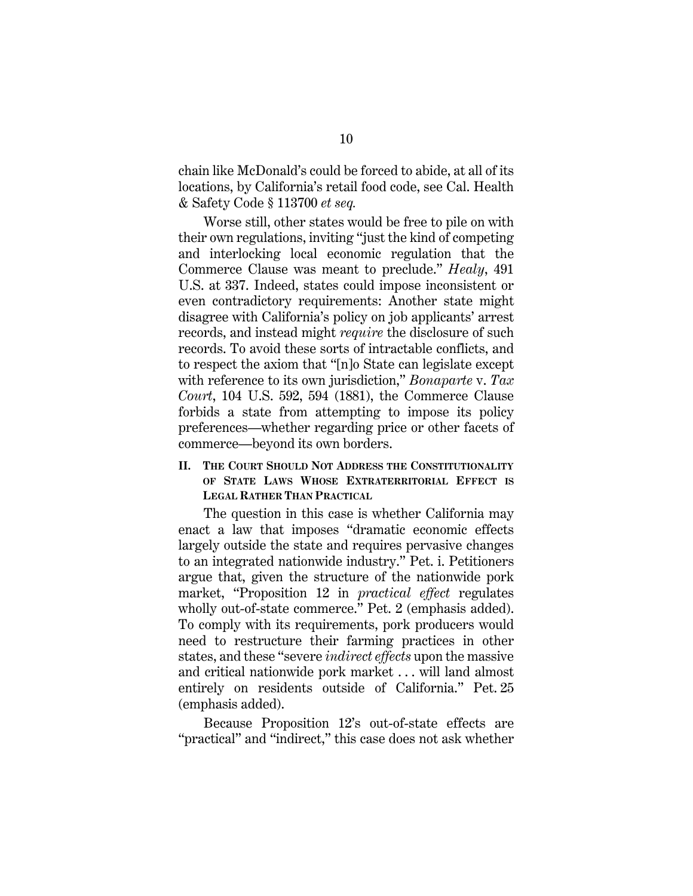chain like McDonald's could be forced to abide, at all of its locations, by California's retail food code, see Cal. Health & Safety Code § 113700 *et seq.* 

Worse still, other states would be free to pile on with their own regulations, inviting "just the kind of competing and interlocking local economic regulation that the Commerce Clause was meant to preclude." *Healy*, 491 U.S. at 337. Indeed, states could impose inconsistent or even contradictory requirements: Another state might disagree with California's policy on job applicants' arrest records, and instead might *require* the disclosure of such records. To avoid these sorts of intractable conflicts, and to respect the axiom that "[n]o State can legislate except with reference to its own jurisdiction," *Bonaparte* v. *Tax Court*, 104 U.S. 592, 594 (1881), the Commerce Clause forbids a state from attempting to impose its policy preferences—whether regarding price or other facets of commerce—beyond its own borders.

### **II. THE COURT SHOULD NOT ADDRESS THE CONSTITUTIONALITY OF STATE LAWS WHOSE EXTRATERRITORIAL EFFECT IS LEGAL RATHER THAN PRACTICAL**

The question in this case is whether California may enact a law that imposes "dramatic economic effects largely outside the state and requires pervasive changes to an integrated nationwide industry." Pet. i. Petitioners argue that, given the structure of the nationwide pork market, "Proposition 12 in *practical effect* regulates wholly out-of-state commerce." Pet. 2 (emphasis added). To comply with its requirements, pork producers would need to restructure their farming practices in other states, and these "severe *indirect effects* upon the massive and critical nationwide pork market . . . will land almost entirely on residents outside of California." Pet. 25 (emphasis added).

Because Proposition 12's out-of-state effects are "practical" and "indirect," this case does not ask whether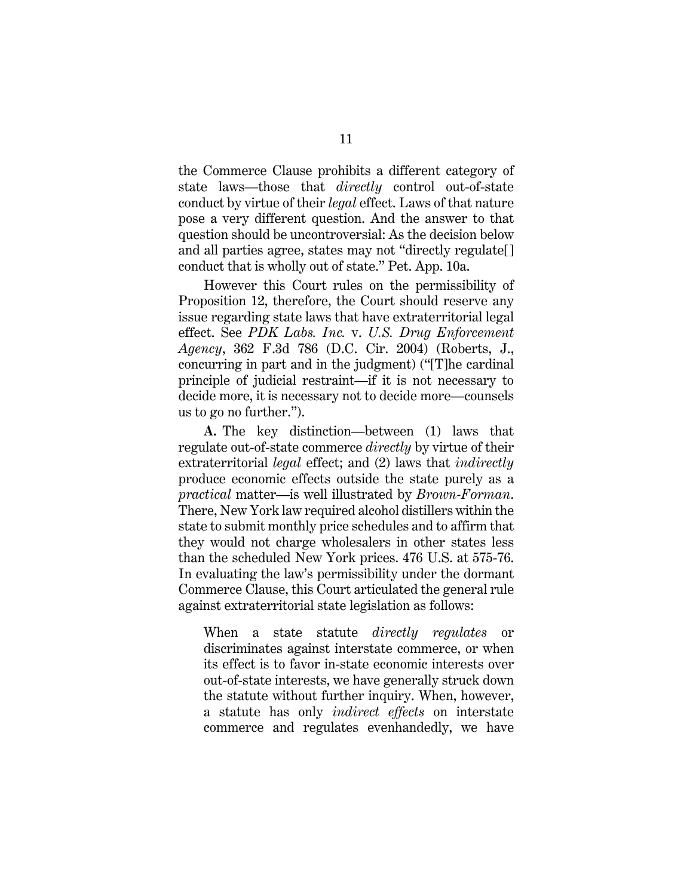the Commerce Clause prohibits a different category of state laws—those that *directly* control out-of-state conduct by virtue of their *legal* effect. Laws of that nature pose a very different question. And the answer to that question should be uncontroversial: As the decision below and all parties agree, states may not "directly regulate[] conduct that is wholly out of state." Pet. App. 10a.

However this Court rules on the permissibility of Proposition 12, therefore, the Court should reserve any issue regarding state laws that have extraterritorial legal effect. See *PDK Labs. Inc.* v. *U.S. Drug Enforcement Agency*, 362 F.3d 786 (D.C. Cir. 2004) (Roberts, J., concurring in part and in the judgment) ("[T]he cardinal principle of judicial restraint—if it is not necessary to decide more, it is necessary not to decide more—counsels us to go no further.").

**A.** The key distinction—between (1) laws that regulate out-of-state commerce *directly* by virtue of their extraterritorial *legal* effect; and (2) laws that *indirectly*  produce economic effects outside the state purely as a *practical* matter—is well illustrated by *Brown-Forman*. There, New York law required alcohol distillers within the state to submit monthly price schedules and to affirm that they would not charge wholesalers in other states less than the scheduled New York prices. 476 U.S. at 575-76. In evaluating the law's permissibility under the dormant Commerce Clause, this Court articulated the general rule against extraterritorial state legislation as follows:

When a state statute *directly regulates* or discriminates against interstate commerce, or when its effect is to favor in-state economic interests over out-of-state interests, we have generally struck down the statute without further inquiry. When, however, a statute has only *indirect effects* on interstate commerce and regulates evenhandedly, we have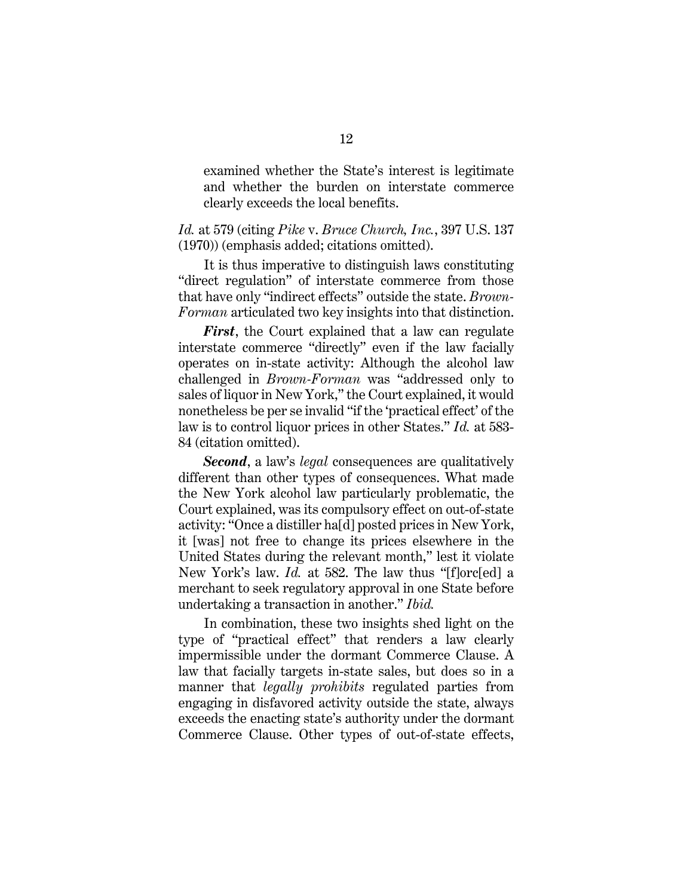examined whether the State's interest is legitimate and whether the burden on interstate commerce clearly exceeds the local benefits.

*Id.* at 579 (citing *Pike* v. *Bruce Church, Inc.*, 397 U.S. 137 (1970)) (emphasis added; citations omitted).

It is thus imperative to distinguish laws constituting "direct regulation" of interstate commerce from those that have only "indirect effects" outside the state. *Brown-Forman* articulated two key insights into that distinction.

*First*, the Court explained that a law can regulate interstate commerce "directly" even if the law facially operates on in-state activity: Although the alcohol law challenged in *Brown-Forman* was "addressed only to sales of liquor in New York," the Court explained, it would nonetheless be per se invalid "if the 'practical effect' of the law is to control liquor prices in other States." *Id.* at 583- 84 (citation omitted).

*Second*, a law's *legal* consequences are qualitatively different than other types of consequences. What made the New York alcohol law particularly problematic, the Court explained, was its compulsory effect on out-of-state activity: "Once a distiller ha[d] posted prices in New York, it [was] not free to change its prices elsewhere in the United States during the relevant month," lest it violate New York's law. *Id.* at 582. The law thus "[f]orc[ed] a merchant to seek regulatory approval in one State before undertaking a transaction in another." *Ibid.*

In combination, these two insights shed light on the type of "practical effect" that renders a law clearly impermissible under the dormant Commerce Clause. A law that facially targets in-state sales, but does so in a manner that *legally prohibits* regulated parties from engaging in disfavored activity outside the state, always exceeds the enacting state's authority under the dormant Commerce Clause. Other types of out-of-state effects,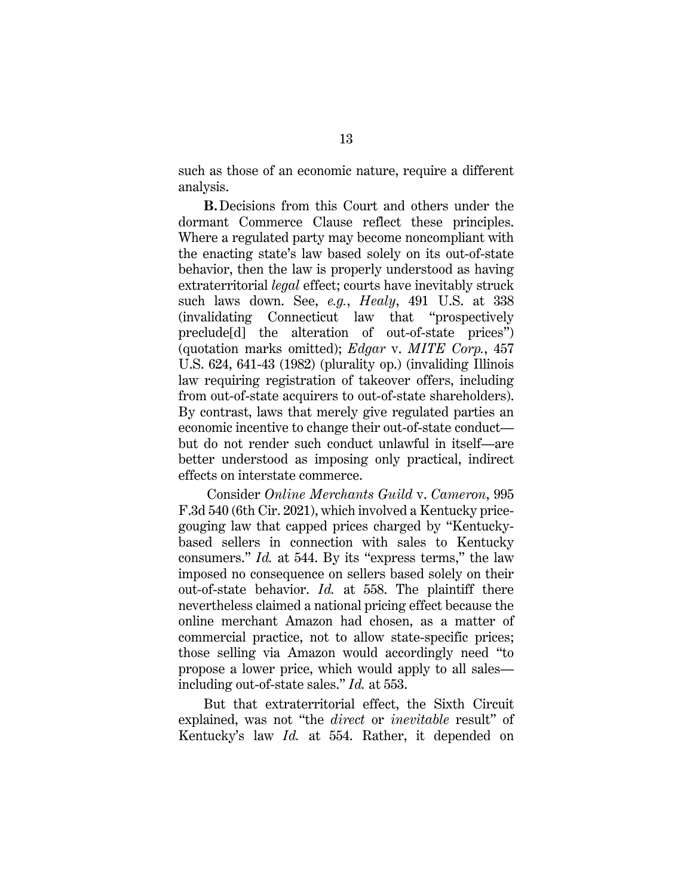such as those of an economic nature, require a different analysis.

**B.**Decisions from this Court and others under the dormant Commerce Clause reflect these principles. Where a regulated party may become noncompliant with the enacting state's law based solely on its out-of-state behavior, then the law is properly understood as having extraterritorial *legal* effect; courts have inevitably struck such laws down. See, *e.g.*, *Healy*, 491 U.S. at 338 (invalidating Connecticut law that "prospectively preclude[d] the alteration of out-of-state prices") (quotation marks omitted); *Edgar* v. *MITE Corp.*, 457 U.S. 624, 641-43 (1982) (plurality op.) (invaliding Illinois law requiring registration of takeover offers, including from out-of-state acquirers to out-of-state shareholders). By contrast, laws that merely give regulated parties an economic incentive to change their out-of-state conduct but do not render such conduct unlawful in itself—are better understood as imposing only practical, indirect effects on interstate commerce.

Consider *Online Merchants Guild* v. *Cameron*, 995 F.3d 540 (6th Cir. 2021), which involved a Kentucky pricegouging law that capped prices charged by "Kentuckybased sellers in connection with sales to Kentucky consumers." *Id.* at 544. By its "express terms," the law imposed no consequence on sellers based solely on their out-of-state behavior. *Id.* at 558. The plaintiff there nevertheless claimed a national pricing effect because the online merchant Amazon had chosen, as a matter of commercial practice, not to allow state-specific prices; those selling via Amazon would accordingly need "to propose a lower price, which would apply to all sales including out-of-state sales." *Id.* at 553.

But that extraterritorial effect, the Sixth Circuit explained, was not "the *direct* or *inevitable* result" of Kentucky's law *Id.* at 554. Rather, it depended on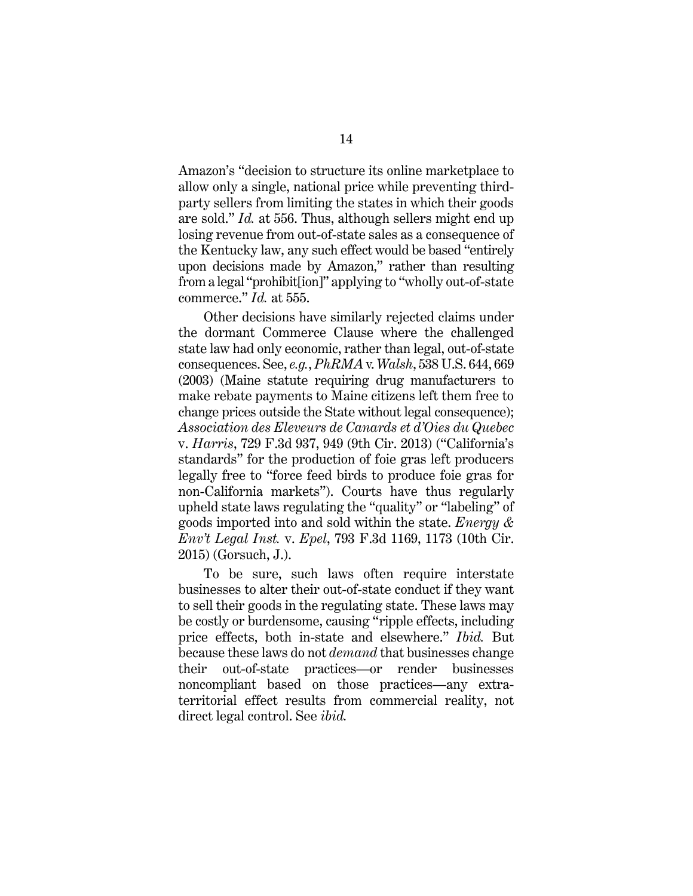Amazon's "decision to structure its online marketplace to allow only a single, national price while preventing thirdparty sellers from limiting the states in which their goods are sold." *Id.* at 556. Thus, although sellers might end up losing revenue from out-of-state sales as a consequence of the Kentucky law, any such effect would be based "entirely upon decisions made by Amazon," rather than resulting from a legal "prohibit[ion]" applying to "wholly out-of-state commerce." *Id.* at 555.

Other decisions have similarly rejected claims under the dormant Commerce Clause where the challenged state law had only economic, rather than legal, out-of-state consequences. See, *e.g.*, *PhRMA* v. *Walsh*, 538 U.S. 644, 669 (2003) (Maine statute requiring drug manufacturers to make rebate payments to Maine citizens left them free to change prices outside the State without legal consequence); *Association des Eleveurs de Canards et d'Oies du Quebec*  v. *Harris*, 729 F.3d 937, 949 (9th Cir. 2013) ("California's standards" for the production of foie gras left producers legally free to "force feed birds to produce foie gras for non-California markets"). Courts have thus regularly upheld state laws regulating the "quality" or "labeling" of goods imported into and sold within the state. *Energy & Env't Legal Inst.* v. *Epel*, 793 F.3d 1169, 1173 (10th Cir. 2015) (Gorsuch, J.).

To be sure, such laws often require interstate businesses to alter their out-of-state conduct if they want to sell their goods in the regulating state. These laws may be costly or burdensome, causing "ripple effects, including price effects, both in-state and elsewhere." *Ibid.* But because these laws do not *demand* that businesses change their out-of-state practices—or render businesses noncompliant based on those practices—any extraterritorial effect results from commercial reality, not direct legal control. See *ibid.*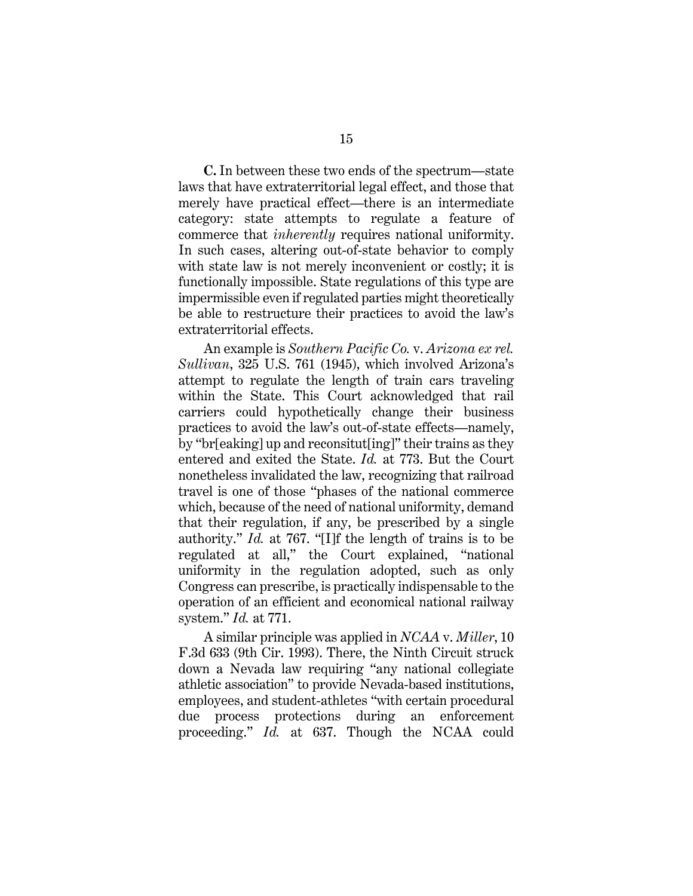**C.** In between these two ends of the spectrum—state laws that have extraterritorial legal effect, and those that merely have practical effect—there is an intermediate category: state attempts to regulate a feature of commerce that *inherently* requires national uniformity. In such cases, altering out-of-state behavior to comply with state law is not merely inconvenient or costly; it is functionally impossible. State regulations of this type are impermissible even if regulated parties might theoretically be able to restructure their practices to avoid the law's extraterritorial effects.

An example is *Southern Pacific Co.* v. *Arizona ex rel. Sullivan*, 325 U.S. 761 (1945), which involved Arizona's attempt to regulate the length of train cars traveling within the State. This Court acknowledged that rail carriers could hypothetically change their business practices to avoid the law's out-of-state effects—namely, by "br[eaking] up and reconsitut[ing]" their trains as they entered and exited the State. *Id.* at 773. But the Court nonetheless invalidated the law, recognizing that railroad travel is one of those "phases of the national commerce which, because of the need of national uniformity, demand that their regulation, if any, be prescribed by a single authority." *Id.* at 767. "[I]f the length of trains is to be regulated at all," the Court explained, "national uniformity in the regulation adopted, such as only Congress can prescribe, is practically indispensable to the operation of an efficient and economical national railway system." *Id.* at 771.

A similar principle was applied in *NCAA* v. *Miller*, 10 F.3d 633 (9th Cir. 1993). There, the Ninth Circuit struck down a Nevada law requiring "any national collegiate athletic association" to provide Nevada-based institutions, employees, and student-athletes "with certain procedural due process protections during an enforcement proceeding." *Id.* at 637. Though the NCAA could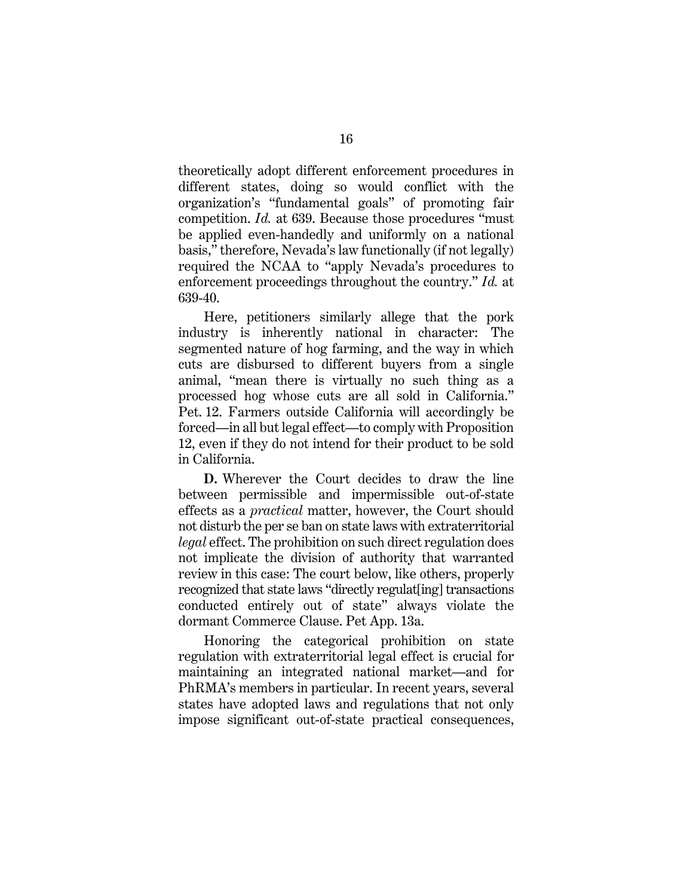theoretically adopt different enforcement procedures in different states, doing so would conflict with the organization's "fundamental goals" of promoting fair competition. *Id.* at 639. Because those procedures "must be applied even-handedly and uniformly on a national basis," therefore, Nevada's law functionally (if not legally) required the NCAA to "apply Nevada's procedures to enforcement proceedings throughout the country." *Id.* at 639-40.

Here, petitioners similarly allege that the pork industry is inherently national in character: The segmented nature of hog farming, and the way in which cuts are disbursed to different buyers from a single animal, "mean there is virtually no such thing as a processed hog whose cuts are all sold in California." Pet. 12. Farmers outside California will accordingly be forced—in all but legal effect—to comply with Proposition 12, even if they do not intend for their product to be sold in California.

**D.** Wherever the Court decides to draw the line between permissible and impermissible out-of-state effects as a *practical* matter, however, the Court should not disturb the per se ban on state laws with extraterritorial *legal* effect. The prohibition on such direct regulation does not implicate the division of authority that warranted review in this case: The court below, like others, properly recognized that state laws "directly regulat[ing] transactions conducted entirely out of state" always violate the dormant Commerce Clause. Pet App. 13a.

Honoring the categorical prohibition on state regulation with extraterritorial legal effect is crucial for maintaining an integrated national market—and for PhRMA's members in particular. In recent years, several states have adopted laws and regulations that not only impose significant out-of-state practical consequences,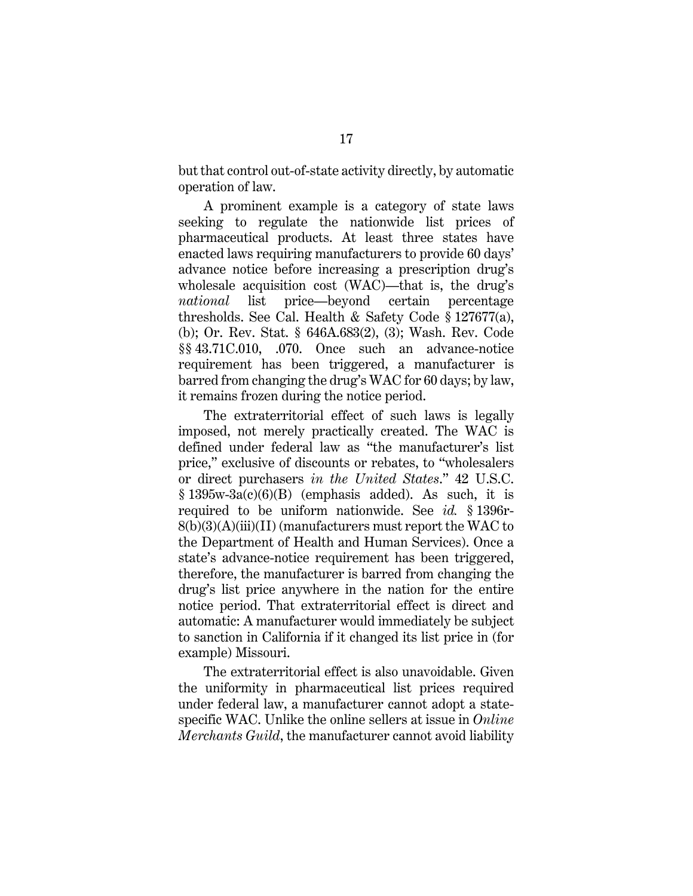but that control out-of-state activity directly, by automatic operation of law.

A prominent example is a category of state laws seeking to regulate the nationwide list prices of pharmaceutical products. At least three states have enacted laws requiring manufacturers to provide 60 days' advance notice before increasing a prescription drug's wholesale acquisition cost (WAC)—that is, the drug's *national* list price—beyond certain percentage thresholds. See Cal. Health & Safety Code § 127677(a), (b); Or. Rev. Stat. § 646A.683(2), (3); Wash. Rev. Code §§ 43.71C.010, .070. Once such an advance-notice requirement has been triggered, a manufacturer is barred from changing the drug's WAC for 60 days; by law, it remains frozen during the notice period.

The extraterritorial effect of such laws is legally imposed, not merely practically created. The WAC is defined under federal law as "the manufacturer's list price," exclusive of discounts or rebates, to "wholesalers or direct purchasers *in the United States*." 42 U.S.C.  $§ 1395w-3a(c)(6)(B)$  (emphasis added). As such, it is required to be uniform nationwide. See *id.* § 1396r- $8(b)(3)(A)(iii)(II)$  (manufacturers must report the WAC to the Department of Health and Human Services). Once a state's advance-notice requirement has been triggered, therefore, the manufacturer is barred from changing the drug's list price anywhere in the nation for the entire notice period. That extraterritorial effect is direct and automatic: A manufacturer would immediately be subject to sanction in California if it changed its list price in (for example) Missouri.

The extraterritorial effect is also unavoidable. Given the uniformity in pharmaceutical list prices required under federal law, a manufacturer cannot adopt a statespecific WAC. Unlike the online sellers at issue in *Online Merchants Guild*, the manufacturer cannot avoid liability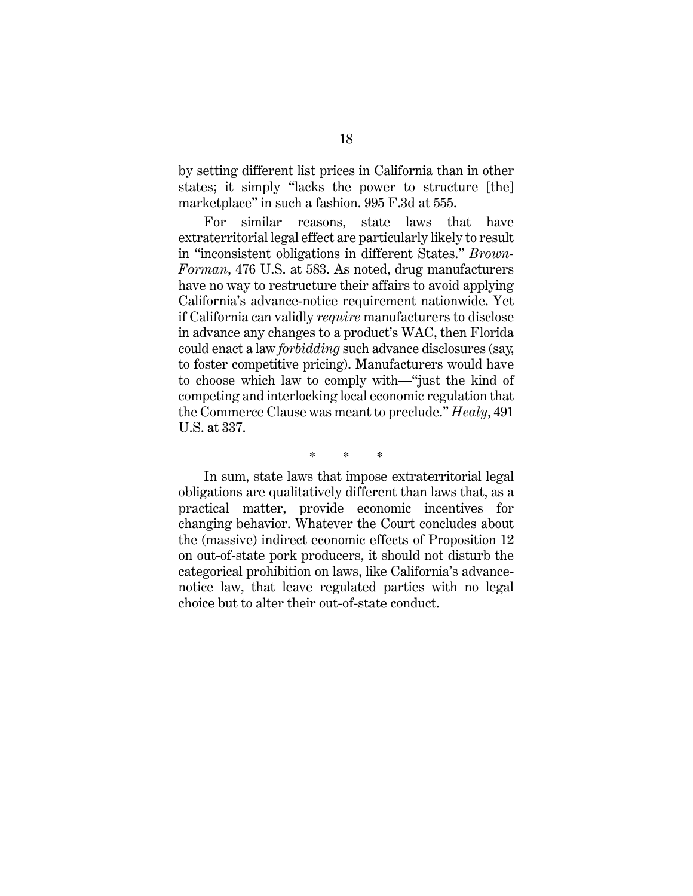by setting different list prices in California than in other states; it simply "lacks the power to structure [the] marketplace" in such a fashion. 995 F.3d at 555.

For similar reasons, state laws that have extraterritorial legal effect are particularly likely to result in "inconsistent obligations in different States." *Brown-Forman*, 476 U.S. at 583. As noted, drug manufacturers have no way to restructure their affairs to avoid applying California's advance-notice requirement nationwide. Yet if California can validly *require* manufacturers to disclose in advance any changes to a product's WAC, then Florida could enact a law *forbidding* such advance disclosures (say, to foster competitive pricing). Manufacturers would have to choose which law to comply with—"just the kind of competing and interlocking local economic regulation that the Commerce Clause was meant to preclude." *Healy*, 491 U.S. at 337.

\* \* \*

In sum, state laws that impose extraterritorial legal obligations are qualitatively different than laws that, as a practical matter, provide economic incentives for changing behavior. Whatever the Court concludes about the (massive) indirect economic effects of Proposition 12 on out-of-state pork producers, it should not disturb the categorical prohibition on laws, like California's advancenotice law, that leave regulated parties with no legal choice but to alter their out-of-state conduct.